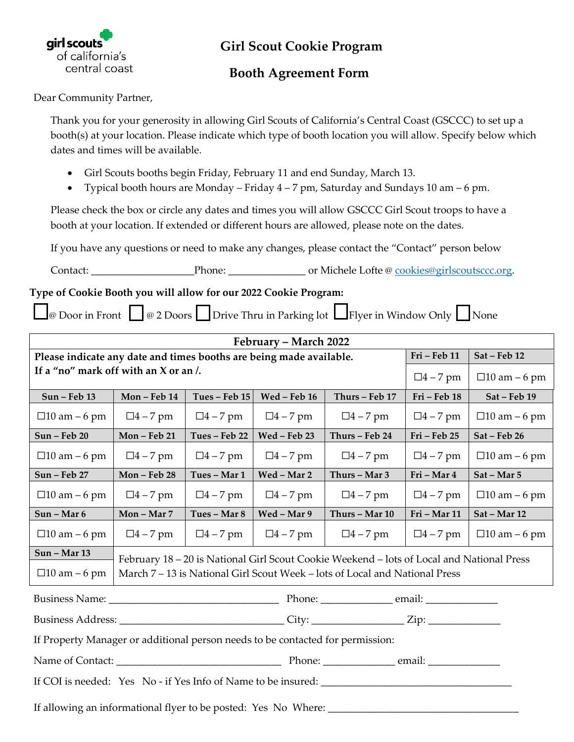

## **Girl Scout Cookie Program**

## **Booth Agreement Form**

Dear Community Partner,

Thank you for your generosity in allowing Girl Scouts of California's Central Coast (GSCCC) to set up a booth(s) at your location. Please indicate which type of booth location you will allow. Specify below which dates and times will be available.

- Girl Scouts booths begin Friday, February 11 and end Sunday, March 13.
- Typical booth hours are Monday Friday 4 7 pm, Saturday and Sundays 10 am 6 pm.

Please check the box or circle any dates and times you will allow GSCCC Girl Scout troops to have a booth at your location. If extended or different hours are allowed, please note on the dates.

If you have any questions or need to make any changes, please contact the "Contact" person below

Contact: \_\_\_\_\_\_\_\_\_\_\_\_\_\_\_\_\_\_\_\_Phone: \_\_\_\_\_\_\_\_\_\_\_\_\_\_\_ or Michele Lofte @ [cookies@girlscoutsccc.org.](mailto:cookies@girlscoutsccc.org)

## **Type of Cookie Booth you will allow for our 2022 Cookie Program:**

 $\Box$ @ Door in Front  $\Box$  @ 2 Doors  $\Box$  Drive Thru in Parking lot  $\Box$  Flyer in Window Only  $\Box$  None

| February – March 2022                                                                                |                                                                                           |                 |                 |                 |                 |                     |  |
|------------------------------------------------------------------------------------------------------|-------------------------------------------------------------------------------------------|-----------------|-----------------|-----------------|-----------------|---------------------|--|
| Please indicate any date and times booths are being made available.                                  |                                                                                           |                 |                 |                 | Fri - Feb 11    | Sat - Feb 12        |  |
| If a "no" mark off with an X or an /.                                                                |                                                                                           |                 |                 |                 | $\Box 4 - 7$ pm | $\Box$ 10 am – 6 pm |  |
| Sun - Feb 13                                                                                         | Mon-Feb 14                                                                                | Tues - Feb 15   | Wed - Feb 16    | Thurs - Feb 17  | Fri - Feb 18    | Sat - Feb 19        |  |
| $\Box$ 10 am – 6 pm                                                                                  | $\Box 4 - 7$ pm                                                                           | $\Box 4 - 7$ pm | $\Box 4 - 7$ pm | $\Box 4 - 7$ pm | $\Box 4 - 7$ pm | $\Box$ 10 am – 6 pm |  |
| Sun - Feb 20                                                                                         | Mon-Feb 21                                                                                | Tues - Feb 22   | Wed - Feb 23    | Thurs - Feb 24  | Fri - Feb 25    | Sat - Feb 26        |  |
| $\Box$ 10 am – 6 pm                                                                                  | $\Box 4 - 7$ pm                                                                           | $\Box 4 - 7$ pm | $\Box 4 - 7$ pm | $\Box 4 - 7$ pm | $\Box 4 - 7$ pm | $\Box$ 10 am – 6 pm |  |
| Sun - Feb 27                                                                                         | Mon-Feb 28                                                                                | Tues - Mar 1    | Wed - Mar 2     | Thurs - Mar 3   | Fri - Mar 4     | Sat - Mar 5         |  |
| $\Box$ 10 am – 6 pm                                                                                  | $\Box 4 - 7$ pm                                                                           | $\Box 4 - 7$ pm | $\Box 4 - 7$ pm | $\Box 4 - 7$ pm | $\Box 4 - 7$ pm | $\Box$ 10 am – 6 pm |  |
| Sun - Mar 6                                                                                          | Mon - Mar 7                                                                               | Tues - Mar 8    | Wed - Mar 9     | Thurs - Mar 10  | Fri - Mar 11    | Sat - Mar 12        |  |
| $\Box$ 10 am – 6 pm                                                                                  | $\Box 4 - 7$ pm                                                                           | $\Box 4 - 7$ pm | $\Box 4 - 7$ pm | $\Box 4 - 7$ pm | $\Box 4 - 7$ pm | $\Box$ 10 am – 6 pm |  |
| <b>Sun - Mar 13</b>                                                                                  | February 18 - 20 is National Girl Scout Cookie Weekend - lots of Local and National Press |                 |                 |                 |                 |                     |  |
| $\Box$ 10 am – 6 pm                                                                                  | March 7 – 13 is National Girl Scout Week – lots of Local and National Press               |                 |                 |                 |                 |                     |  |
|                                                                                                      |                                                                                           |                 |                 |                 |                 |                     |  |
| Business Address: _________________________________City: __________________Zip: ____________________ |                                                                                           |                 |                 |                 |                 |                     |  |
| If Property Manager or additional person needs to be contacted for permission:                       |                                                                                           |                 |                 |                 |                 |                     |  |
|                                                                                                      |                                                                                           |                 |                 |                 |                 |                     |  |
| If COI is needed: Yes No - if Yes Info of Name to be insured:                                        |                                                                                           |                 |                 |                 |                 |                     |  |
| If allowing an informational flyer to be posted: Yes No Where:                                       |                                                                                           |                 |                 |                 |                 |                     |  |